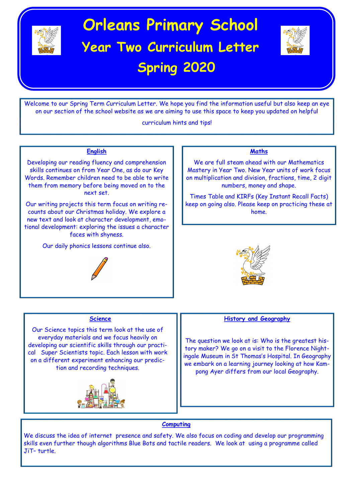

# **Orleans Primary School Year Two Curriculum Letter Spring 2020**



Welcome to our Spring Term Curriculum Letter. We hope you find the information useful but also keep an eye on our section of the school website as we are aiming to use this space to keep you updated on helpful

curriculum hints and tips!

### **English**

Developing our reading fluency and comprehension skills continues on from Year One, as do our Key Words. Remember children need to be able to write them from memory before being moved on to the next set.

Our writing projects this term focus on writing recounts about our Christmas holiday. We explore a new text and look at character development, emotional development: exploring the issues a character faces with shyness.

Our daily phonics lessons continue also.



### **Maths**

We are full steam ahead with our Mathematics Mastery in Year Two. New Year units of work focus on multiplication and division, fractions, time, 2 digit numbers, money and shape.

Times Table and KIRFs (Key Instant Recall Facts) keep on going also. Please keep on practicing these at home.



#### **Science**

Our Science topics this term look at the use of everyday materials and we focus heavily on developing our scientific skills through our practical Super Scientists topic. Each lesson with work on a different experiment enhancing our prediction and recording techniques.



#### **History and Geography**

The question we look at is: Who is the greatest history maker? We go on a visit to the Florence Nightingale Museum in St Thomas's Hospital. In Geography we embark on a learning journey looking at how Kampong Ayer differs from our local Geography.

#### **Computing**

We discuss the idea of internet presence and safety. We also focus on coding and develop our programming skills even further though algorithms Blue Bots and tactile readers. We look at using a programme called JiT– turtle.